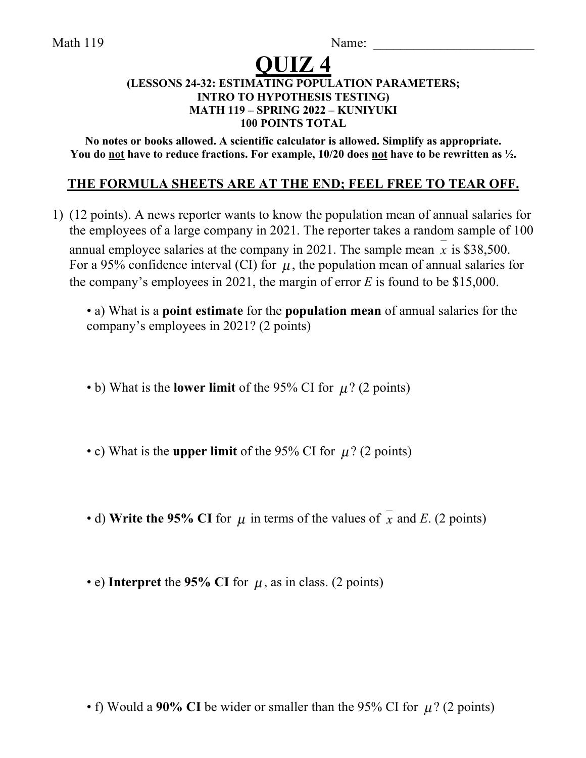Math 119 Name:

# **QUIZ 4**

#### **(LESSONS 24-32: ESTIMATING POPULATION PARAMETERS; INTRO TO HYPOTHESIS TESTING) MATH 119 – SPRING 2022 – KUNIYUKI 100 POINTS TOTAL**

**No notes or books allowed. A scientific calculator is allowed. Simplify as appropriate. You do not have to reduce fractions. For example, 10/20 does not have to be rewritten as ½.**

# **THE FORMULA SHEETS ARE AT THE END; FEEL FREE TO TEAR OFF.**

1) (12 points). A news reporter wants to know the population mean of annual salaries for the employees of a large company in 2021. The reporter takes a random sample of 100 annual employee salaries at the company in 2021. The sample mean  $x$  is \$38,500. For a 95% confidence interval (CI) for  $\mu$ , the population mean of annual salaries for the company's employees in 2021, the margin of error *E* is found to be \$15,000.

• a) What is a **point estimate** for the **population mean** of annual salaries for the company's employees in 2021? (2 points)

• b) What is the **lower limit** of the 95% CI for  $\mu$ ? (2 points)

• c) What is the **upper limit** of the 95% CI for  $\mu$ ? (2 points)

• d) Write the 95% CI for  $\mu$  in terms of the values of  $x$  and *E*. (2 points)

• e) Interpret the 95% CI for  $\mu$ , as in class. (2 points)

• f) Would a 90% CI be wider or smaller than the 95% CI for  $\mu$ ? (2 points)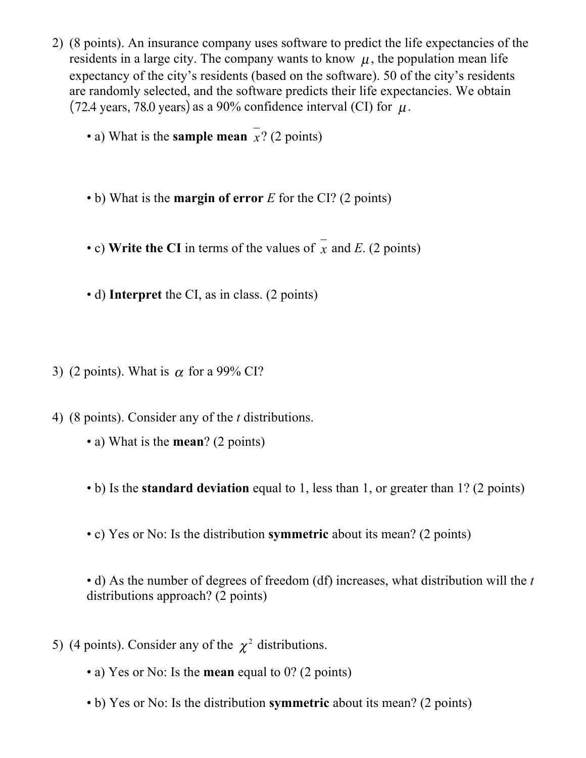- 2) (8 points). An insurance company uses software to predict the life expectancies of the residents in a large city. The company wants to know  $\mu$ , the population mean life expectancy of the city's residents (based on the software). 50 of the city's residents are randomly selected, and the software predicts their life expectancies. We obtain as a 90% confidence interval (CI) for  $\mu$ .
	- a) What is the **sample mean**  $x$ ? (2 points)
	- b) What is the **margin of error** *E* for the CI? (2 points)
	- c) Write the CI in terms of the values of  $x$  and  $E$ . (2 points)
	- d) **Interpret** the CI, as in class. (2 points)
- 3) (2 points). What is  $\alpha$  for a 99% CI?
- 4) (8 points). Consider any of the *t* distributions.
	- a) What is the **mean**? (2 points)
	- b) Is the **standard deviation** equal to 1, less than 1, or greater than 1? (2 points)
	- c) Yes or No: Is the distribution **symmetric** about its mean? (2 points)

• d) As the number of degrees of freedom (df) increases, what distribution will the *t* distributions approach? (2 points)

- 5) (4 points). Consider any of the  $\chi^2$  distributions.
	- a) Yes or No: Is the **mean** equal to 0? (2 points)
	- b) Yes or No: Is the distribution **symmetric** about its mean? (2 points)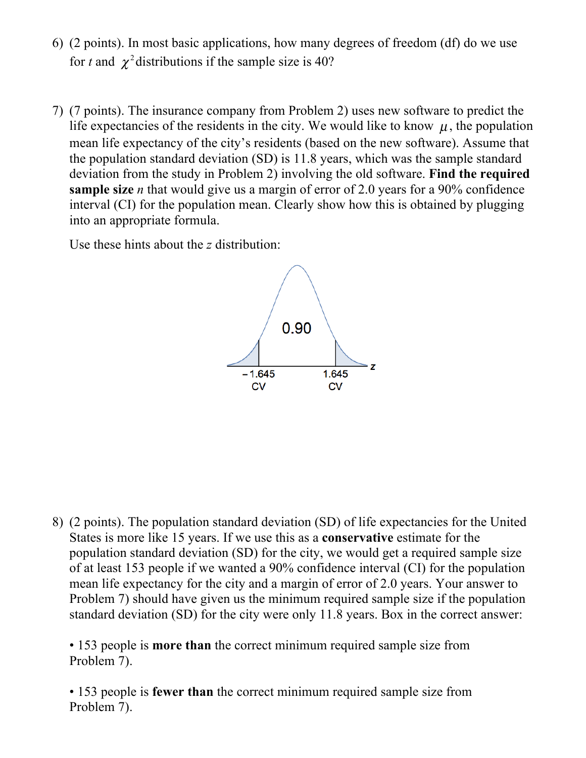- 6) (2 points). In most basic applications, how many degrees of freedom (df) do we use for *t* and  $\chi^2$  distributions if the sample size is 40?
- 7) (7 points). The insurance company from Problem 2) uses new software to predict the life expectancies of the residents in the city. We would like to know  $\mu$ , the population mean life expectancy of the city's residents (based on the new software). Assume that the population standard deviation (SD) is 11.8 years, which was the sample standard deviation from the study in Problem 2) involving the old software. **Find the required sample size** *n* that would give us a margin of error of 2.0 years for a 90% confidence interval (CI) for the population mean. Clearly show how this is obtained by plugging into an appropriate formula.

Use these hints about the *z* distribution:



8) (2 points). The population standard deviation (SD) of life expectancies for the United States is more like 15 years. If we use this as a **conservative** estimate for the population standard deviation (SD) for the city, we would get a required sample size of at least 153 people if we wanted a 90% confidence interval (CI) for the population mean life expectancy for the city and a margin of error of 2.0 years. Your answer to Problem 7) should have given us the minimum required sample size if the population standard deviation (SD) for the city were only 11.8 years. Box in the correct answer:

• 153 people is **more than** the correct minimum required sample size from Problem 7).

• 153 people is **fewer than** the correct minimum required sample size from Problem 7).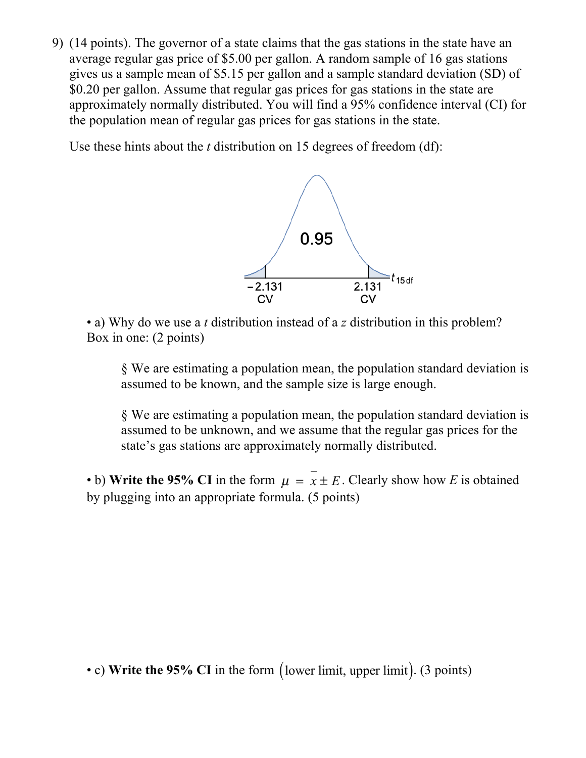9) (14 points). The governor of a state claims that the gas stations in the state have an average regular gas price of \$5.00 per gallon. A random sample of 16 gas stations gives us a sample mean of \$5.15 per gallon and a sample standard deviation (SD) of \$0.20 per gallon. Assume that regular gas prices for gas stations in the state are approximately normally distributed. You will find a 95% confidence interval (CI) for the population mean of regular gas prices for gas stations in the state.

Use these hints about the *t* distribution on 15 degrees of freedom (df):



• a) Why do we use a *t* distribution instead of a *z* distribution in this problem? Box in one: (2 points)

§ We are estimating a population mean, the population standard deviation is assumed to be known, and the sample size is large enough.

§ We are estimating a population mean, the population standard deviation is assumed to be unknown, and we assume that the regular gas prices for the state's gas stations are approximately normally distributed.

• b) Write the 95% CI in the form  $\mu = x \pm E$ . Clearly show how *E* is obtained by plugging into an appropriate formula. (5 points)

• c) Write the 95% CI in the form (lower limit, upper limit). (3 points)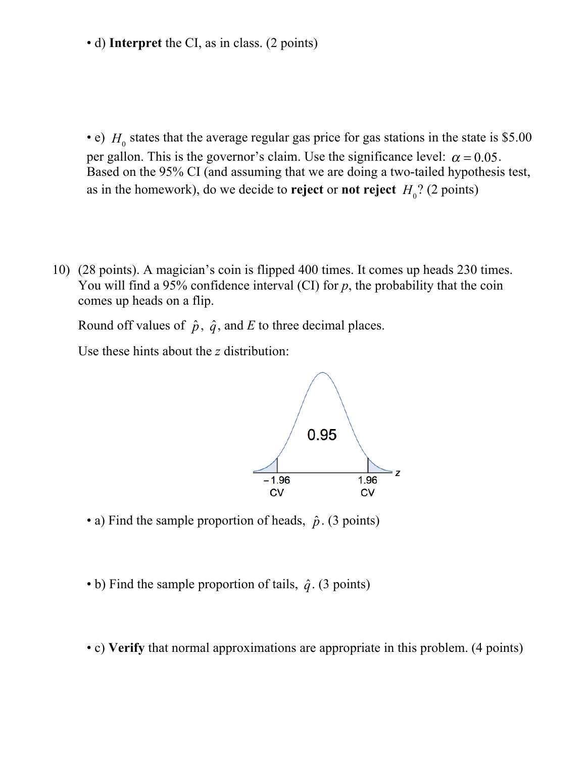• d) **Interpret** the CI, as in class. (2 points)

• e)  $H_0$  states that the average regular gas price for gas stations in the state is \$5.00 per gallon. This is the governor's claim. Use the significance level:  $\alpha = 0.05$ . Based on the 95% CI (and assuming that we are doing a two-tailed hypothesis test, as in the homework), do we decide to **reject** or **not reject**  $H_0$ ? (2 points)

10) (28 points). A magician's coin is flipped 400 times. It comes up heads 230 times. You will find a 95% confidence interval (CI) for *p*, the probability that the coin comes up heads on a flip.

Round off values of  $\hat{p}$ ,  $\hat{q}$ , and *E* to three decimal places.

Use these hints about the *z* distribution:



- a) Find the sample proportion of heads,  $\hat{p}$ . (3 points)
- b) Find the sample proportion of tails,  $\hat{q}$ . (3 points)
- c) **Verify** that normal approximations are appropriate in this problem. (4 points)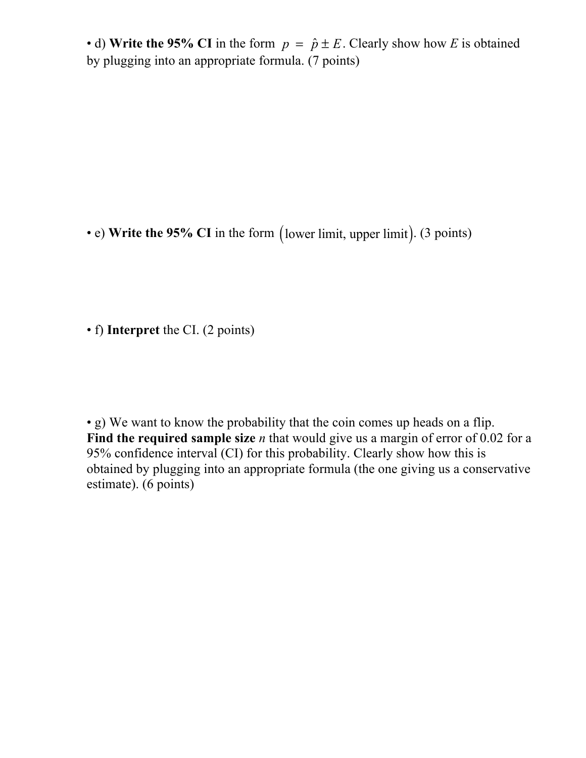• d) Write the 95% CI in the form  $p = \hat{p} \pm E$ . Clearly show how *E* is obtained by plugging into an appropriate formula. (7 points)

• e) Write the 95% CI in the form (lower limit, upper limit). (3 points)

• f) **Interpret** the CI. (2 points)

• g) We want to know the probability that the coin comes up heads on a flip. Find the required sample size *n* that would give us a margin of error of 0.02 for a 95% confidence interval (CI) for this probability. Clearly show how this is obtained by plugging into an appropriate formula (the one giving us a conservative estimate). (6 points)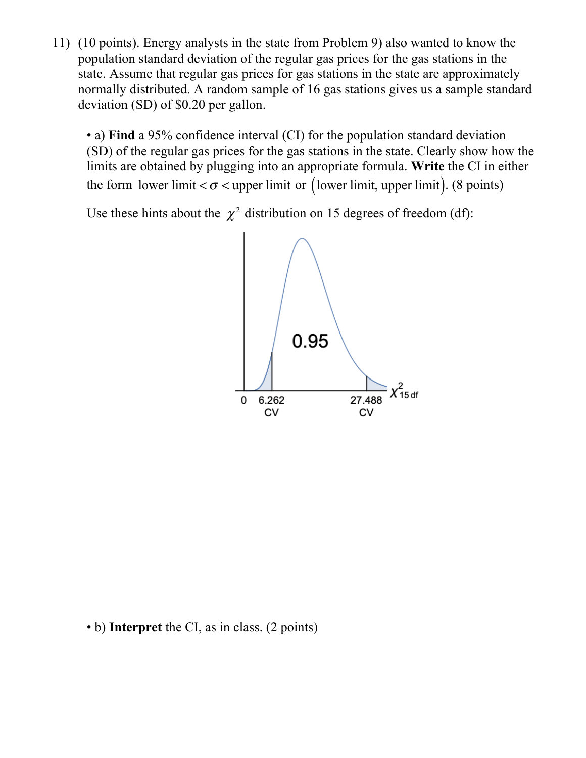11) (10 points). Energy analysts in the state from Problem 9) also wanted to know the population standard deviation of the regular gas prices for the gas stations in the state. Assume that regular gas prices for gas stations in the state are approximately normally distributed. A random sample of 16 gas stations gives us a sample standard deviation (SD) of \$0.20 per gallon.

• a) **Find** a 95% confidence interval (CI) for the population standard deviation (SD) of the regular gas prices for the gas stations in the state. Clearly show how the limits are obtained by plugging into an appropriate formula. **Write** the CI in either the form lower limit  $<\sigma$  < upper limit or (lower limit, upper limit). (8 points)

Use these hints about the  $\chi^2$  distribution on 15 degrees of freedom (df):



• b) **Interpret** the CI, as in class. (2 points)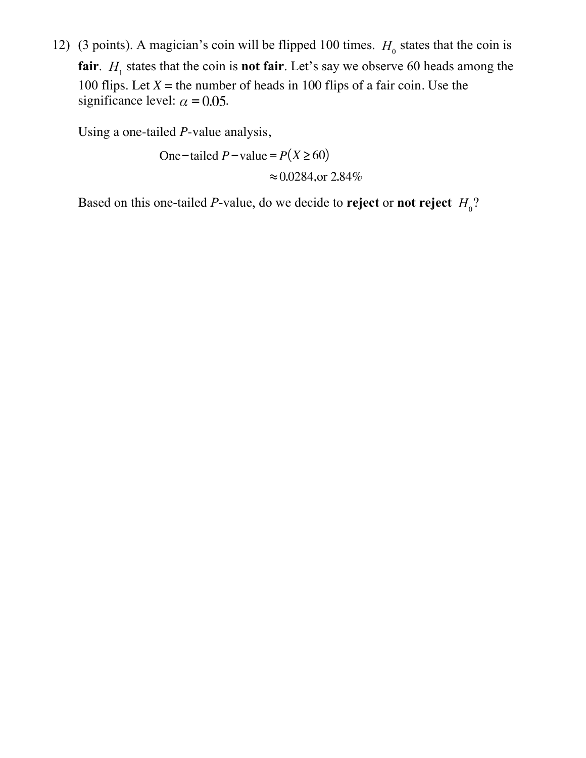12) (3 points). A magician's coin will be flipped 100 times.  $H_0$  states that the coin is **fair**.  $H_1$  states that the coin is **not fair**. Let's say we observe 60 heads among the 100 flips. Let  $X =$  the number of heads in 100 flips of a fair coin. Use the significance level:  $\alpha$  = 0.05.

Using a one-tailed *P*-value analysis,

One-tailed  $P$ -value =  $P(X \ge 60)$  $\approx 0.0284$ , or 2.84%

Based on this one-tailed P-value, do we decide to **reject** or **not reject**  $H_0$ ?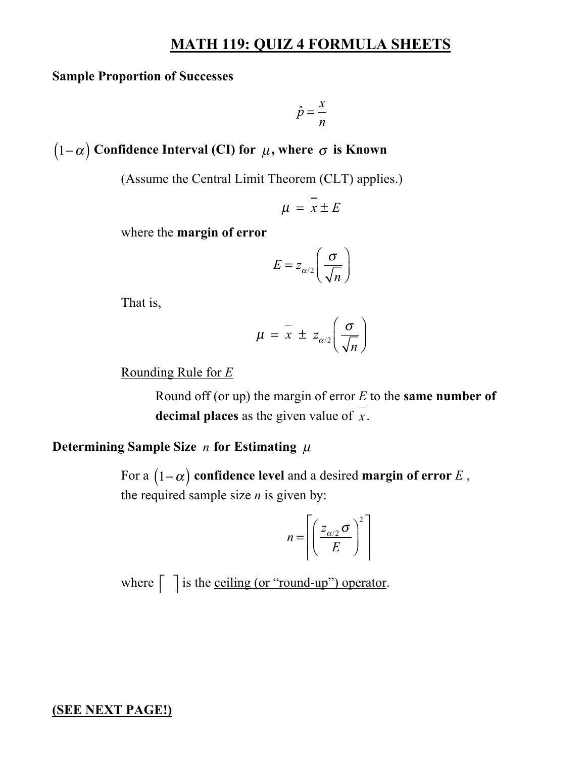## **MATH 119: QUIZ 4 FORMULA SHEETS**

#### **Sample Proportion of Successes**

$$
\hat{p} = \frac{x}{n}
$$

 $(1\!-\!\alpha)$  Confidence Interval (CI) for  $\,\mu,$  where  $\,\sigma$  is Known

(Assume the Central Limit Theorem (CLT) applies.)

$$
\mu = x \pm E
$$

where the **margin of error**

$$
E = z_{\alpha/2} \left( \frac{\sigma}{\sqrt{n}} \right)
$$

That is,

$$
\mu = \bar{x} \pm z_{\alpha/2} \left( \frac{\sigma}{\sqrt{n}} \right)
$$

Rounding Rule for *E*

Round off (or up) the margin of error *E* to the **same number of**  decimal places as the given value of  $x$ .

## Determining Sample Size  $n$  for Estimating  $\mu$

For a  $(1-\alpha)$  confidence level and a desired margin of error  $E$  , the required sample size *n* is given by:

$$
n = \left\lceil \left( \frac{Z_{\alpha/2} \sigma}{E} \right)^2 \right\rceil
$$

where  $\int$  is the <u>ceiling (or "round-up") operator</u>.

#### **(SEE NEXT PAGE!)**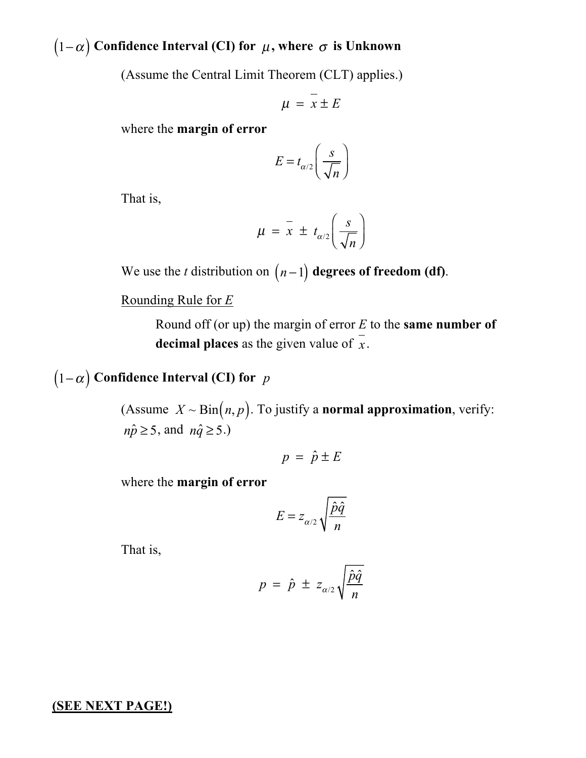# $(1\!-\!\alpha)$  Confidence Interval (CI) for  $\,\mu,$  where  $\,\sigma$  is Unknown

(Assume the Central Limit Theorem (CLT) applies.)

$$
\mu = x \pm E
$$

where the **margin of error**

$$
E = t_{\alpha/2} \left( \frac{s}{\sqrt{n}} \right)
$$

That is,

$$
\mu = \overline{x} \pm t_{\alpha/2} \left( \frac{s}{\sqrt{n}} \right)
$$

We use the *t* distribution on  $(n-1)$  degrees of freedom (df).

Rounding Rule for *E*

Round off (or up) the margin of error *E* to the **same number of**  decimal places as the given value of  $x$ .

# $(1-\alpha)$  Confidence Interval (CI) for  $\,$   $p$

(Assume  $X \sim \text{Bin}(n, p)$ . To justify a **normal approximation**, verify:  $n\hat{p} \ge 5$ , and  $n\hat{q} \ge 5$ .)

$$
p = \hat{p} \pm E
$$

where the **margin of error**

$$
E = z_{\alpha/2} \sqrt{\frac{\hat{p}\hat{q}}{n}}
$$

That is,

$$
p = \hat{p} \pm z_{\alpha/2} \sqrt{\frac{\hat{p}\hat{q}}{n}}
$$

#### **(SEE NEXT PAGE!)**